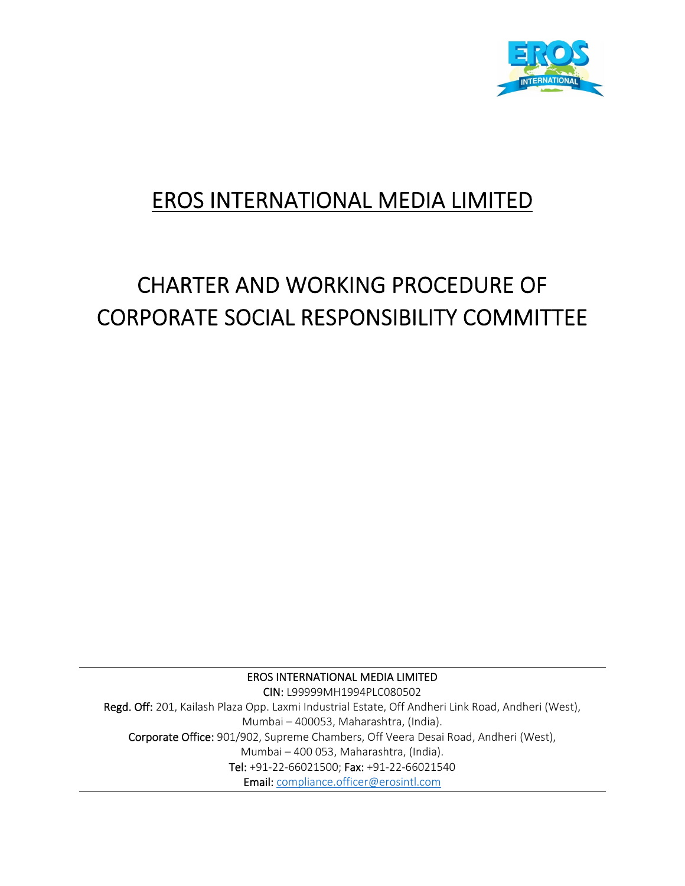

# EROS INTERNATIONAL MEDIA LIMITED

# CHARTER AND WORKING PROCEDURE OF CORPORATE SOCIAL RESPONSIBILITY COMMITTEE

EROS INTERNATIONAL MEDIA LIMITED CIN: L99999MH1994PLC080502 Regd. Off: 201, Kailash Plaza Opp. Laxmi Industrial Estate, Off Andheri Link Road, Andheri (West), Mumbai – 400053, Maharashtra, (India). Corporate Office: 901/902, Supreme Chambers, Off Veera Desai Road, Andheri (West), Mumbai – 400 053, Maharashtra, (India). Tel: +91‐22‐66021500; Fax: +91‐22‐66021540 Email: compliance.officer@erosintl.com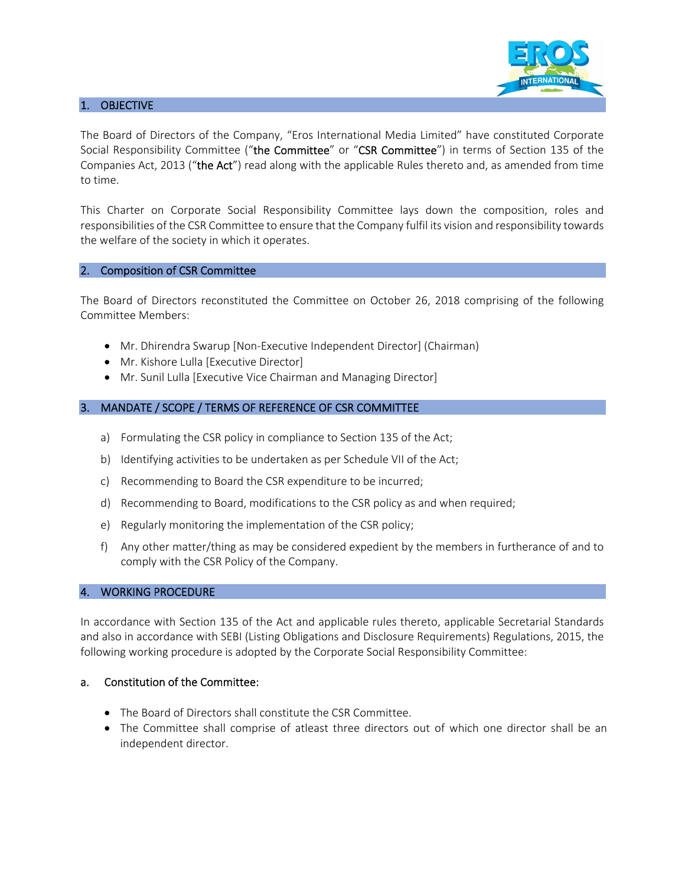

#### 1. OBJECTIVE

The Board of Directors of the Company, "Eros International Media Limited" have constituted Corporate Social Responsibility Committee ("the Committee" or "CSR Committee") in terms of Section 135 of the Companies Act, 2013 ("the Act") read along with the applicable Rules thereto and, as amended from time to time.

This Charter on Corporate Social Responsibility Committee lays down the composition, roles and responsibilities of the CSR Committee to ensure that the Company fulfil its vision and responsibility towards the welfare of the society in which it operates.

#### 2. Composition of CSR Committee

The Board of Directors reconstituted the Committee on October 26, 2018 comprising of the following Committee Members:

- Mr. Dhirendra Swarup [Non-Executive Independent Director] (Chairman)
- Mr. Kishore Lulla [Executive Director]
- Mr. Sunil Lulla [Executive Vice Chairman and Managing Director]

#### 3. MANDATE / SCOPE / TERMS OF REFERENCE OF CSR COMMITTEE

- a) Formulating the CSR policy in compliance to Section 135 of the Act;
- b) Identifying activities to be undertaken as per Schedule VII of the Act;
- c) Recommending to Board the CSR expenditure to be incurred;
- d) Recommending to Board, modifications to the CSR policy as and when required;
- e) Regularly monitoring the implementation of the CSR policy;
- f) Any other matter/thing as may be considered expedient by the members in furtherance of and to comply with the CSR Policy of the Company.

#### 4. WORKING PROCEDURE

In accordance with Section 135 of the Act and applicable rules thereto, applicable Secretarial Standards and also in accordance with SEBI (Listing Obligations and Disclosure Requirements) Regulations, 2015, the following working procedure is adopted by the Corporate Social Responsibility Committee:

#### a. Constitution of the Committee:

- The Board of Directors shall constitute the CSR Committee.
- The Committee shall comprise of atleast three directors out of which one director shall be an independent director.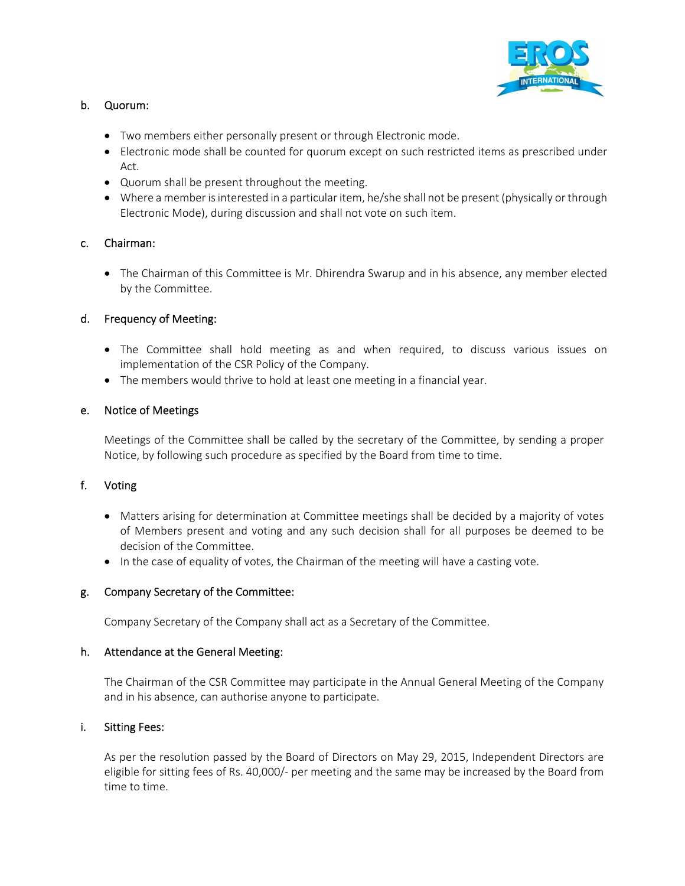

# b. Quorum:

- Two members either personally present or through Electronic mode.
- Electronic mode shall be counted for quorum except on such restricted items as prescribed under Act.
- Quorum shall be present throughout the meeting.
- Where a member is interested in a particular item, he/she shall not be present (physically or through Electronic Mode), during discussion and shall not vote on such item.

# c. Chairman:

• The Chairman of this Committee is Mr. Dhirendra Swarup and in his absence, any member elected by the Committee.

# d. Frequency of Meeting:

- The Committee shall hold meeting as and when required, to discuss various issues on implementation of the CSR Policy of the Company.
- The members would thrive to hold at least one meeting in a financial year.

## e. Notice of Meetings

Meetings of the Committee shall be called by the secretary of the Committee, by sending a proper Notice, by following such procedure as specified by the Board from time to time.

## f. Voting

- Matters arising for determination at Committee meetings shall be decided by a majority of votes of Members present and voting and any such decision shall for all purposes be deemed to be decision of the Committee.
- In the case of equality of votes, the Chairman of the meeting will have a casting vote.

## g. Company Secretary of the Committee:

Company Secretary of the Company shall act as a Secretary of the Committee.

#### h. Attendance at the General Meeting:

The Chairman of the CSR Committee may participate in the Annual General Meeting of the Company and in his absence, can authorise anyone to participate.

## i. Sitting Fees:

As per the resolution passed by the Board of Directors on May 29, 2015, Independent Directors are eligible for sitting fees of Rs. 40,000/‐ per meeting and the same may be increased by the Board from time to time.